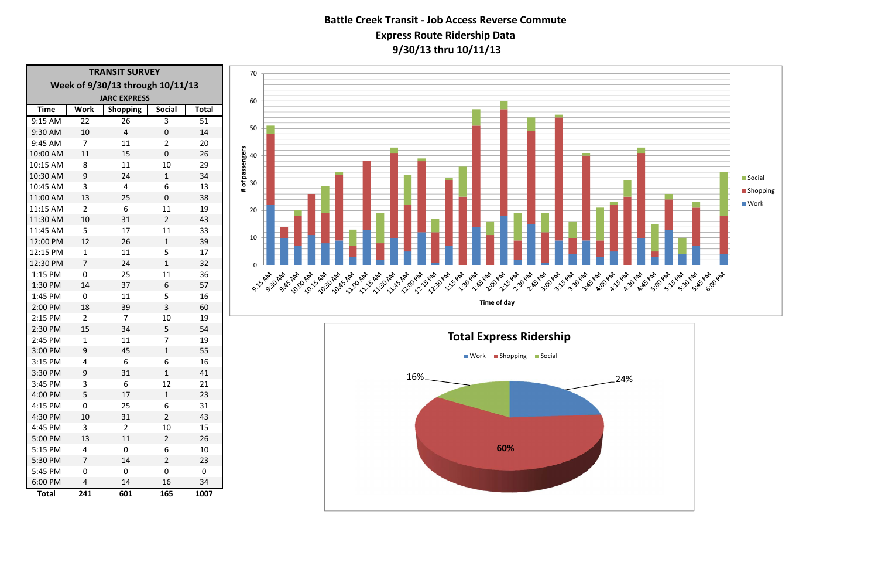## **Battle Creek Transit ‐ Job Access Reverse Commute Express Route Ridership Data 9/30/13 thru 10/11/13**

| <b>TRANSIT SURVEY</b>            |                |                 |                |              |  |  |  |
|----------------------------------|----------------|-----------------|----------------|--------------|--|--|--|
| Week of 9/30/13 through 10/11/13 |                |                 |                |              |  |  |  |
| <b>JARC EXPRESS</b>              |                |                 |                |              |  |  |  |
| <b>Time</b>                      | <b>Work</b>    | <b>Shopping</b> | <b>Social</b>  | <b>Total</b> |  |  |  |
| 9:15 AM                          | 22             | 26              | 3              | 51           |  |  |  |
| 9:30 AM                          | 10             | 4               | 0              | 14           |  |  |  |
| 9:45 AM                          | 7              | 11              | $\overline{2}$ | 20           |  |  |  |
| 10:00 AM                         | 11             | 15              | 0              | 26           |  |  |  |
| 10:15 AM                         | 8              | 11              | 10             | 29           |  |  |  |
| 10:30 AM                         | 9              | 24              | 1              | 34           |  |  |  |
| 10:45 AM                         | 3              | 4               | 6              | 13           |  |  |  |
| 11:00 AM                         | 13             | 25              | 0              | 38           |  |  |  |
| 11:15 AM                         | $\overline{2}$ | 6               | 11             | 19           |  |  |  |
| 11:30 AM                         | 10             | 31              | $\overline{2}$ | 43           |  |  |  |
| 11:45 AM                         | 5              | 17              | 11             | 33           |  |  |  |
| 12:00 PM                         | 12             | 26              | $\mathbf{1}$   | 39           |  |  |  |
| 12:15 PM                         | 1              | 11              | 5              | 17           |  |  |  |
| 12:30 PM                         | $\overline{7}$ | 24              | $\mathbf{1}$   | 32           |  |  |  |
| 1:15 PM                          | 0              | 25              | 11             | 36           |  |  |  |
| 1:30 PM                          | 14             | 37              | 6              | 57           |  |  |  |
| 1:45 PM                          | 0              | 11              | 5              | 16           |  |  |  |
| 2:00 PM                          | 18             | 39              | 3              | 60           |  |  |  |
| 2:15 PM                          | $\overline{2}$ | 7               | 10             | 19           |  |  |  |
| 2:30 PM                          | 15             | 34              | 5              | 54           |  |  |  |
| 2:45 PM                          | $\mathbf{1}$   | 11              | 7              | 19           |  |  |  |
| 3:00 PM                          | 9              | 45              | 1              | 55           |  |  |  |
| 3:15 PM                          | 4              | 6               | 6              | 16           |  |  |  |
| 3:30 PM                          | 9              | 31              | 1              | 41           |  |  |  |
| 3:45 PM                          | 3              | 6               | 12             | 21           |  |  |  |
| 4:00 PM                          | 5              | 17              | $\mathbf{1}$   | 23           |  |  |  |
| 4:15 PM                          | 0              | 25              | 6              | 31           |  |  |  |
| 4:30 PM                          | 10             | 31              | $\overline{2}$ | 43           |  |  |  |
| 4:45 PM                          | 3              | $\overline{2}$  | 10             | 15           |  |  |  |
| 5:00 PM                          | 13             | 11              | $\overline{2}$ | 26           |  |  |  |
| 5:15 PM                          | 4              | 0               | 6              | 10           |  |  |  |
| 5:30 PM                          | 7              | 14              | 2              | 23           |  |  |  |
| 5:45 PM                          | 0              | 0               | 0              | 0            |  |  |  |
| 6:00 PM                          | 4              | 14              | 16             | 34           |  |  |  |
| Total                            | 241            | 601             | 165            | 1007         |  |  |  |

**#**